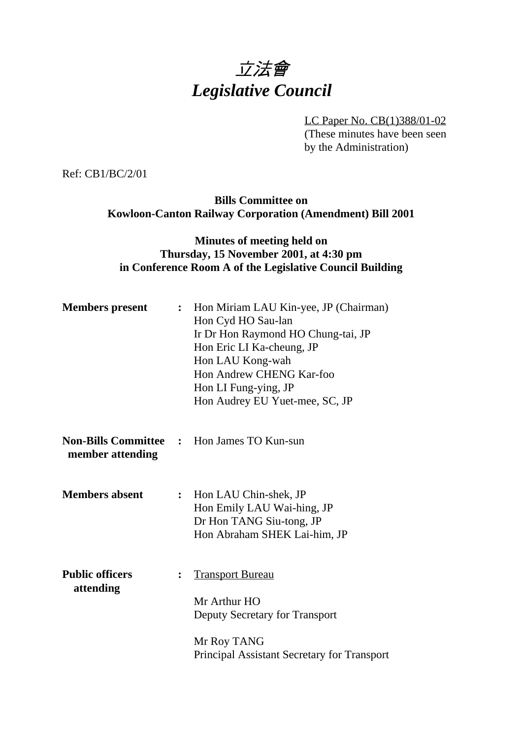# 立法會 *Legislative Council*

LC Paper No. CB(1)388/01-02

(These minutes have been seen by the Administration)

Ref: CB1/BC/2/01

**Bills Committee on Kowloon-Canton Railway Corporation (Amendment) Bill 2001**

### **Minutes of meeting held on Thursday, 15 November 2001, at 4:30 pm in Conference Room A of the Legislative Council Building**

| <b>Members</b> present              | $\ddot{\cdot}$ | Hon Miriam LAU Kin-yee, JP (Chairman)<br>Hon Cyd HO Sau-lan<br>Ir Dr Hon Raymond HO Chung-tai, JP<br>Hon Eric LI Ka-cheung, JP<br>Hon LAU Kong-wah<br>Hon Andrew CHENG Kar-foo<br>Hon LI Fung-ying, JP<br>Hon Audrey EU Yuet-mee, SC, JP |
|-------------------------------------|----------------|------------------------------------------------------------------------------------------------------------------------------------------------------------------------------------------------------------------------------------------|
| member attending                    |                | <b>Non-Bills Committee : Hon James TO Kun-sun</b>                                                                                                                                                                                        |
| <b>Members absent</b>               | $\ddot{\cdot}$ | Hon LAU Chin-shek, JP<br>Hon Emily LAU Wai-hing, JP<br>Dr Hon TANG Siu-tong, JP<br>Hon Abraham SHEK Lai-him, JP                                                                                                                          |
| <b>Public officers</b><br>attending | $\ddot{\cdot}$ | <b>Transport Bureau</b><br>Mr Arthur HO<br>Deputy Secretary for Transport                                                                                                                                                                |
|                                     |                | Mr Roy TANG<br>Principal Assistant Secretary for Transport                                                                                                                                                                               |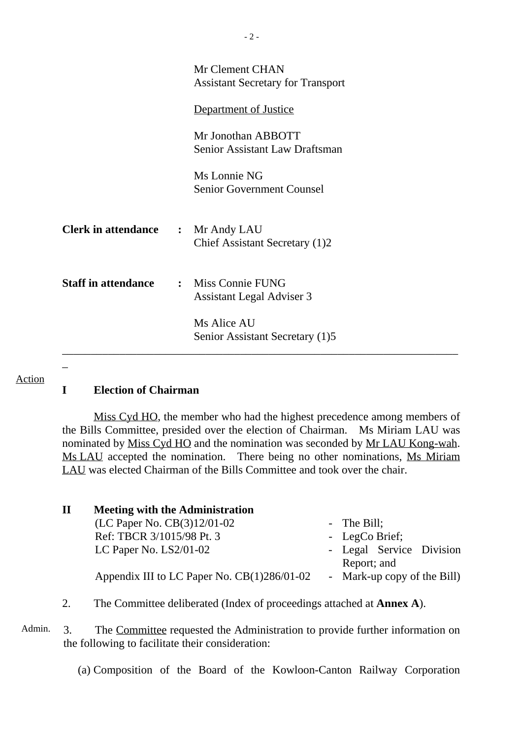|                                          | Mr Clement CHAN<br><b>Assistant Secretary for Transport</b> |
|------------------------------------------|-------------------------------------------------------------|
|                                          | Department of Justice                                       |
|                                          | Mr Jonothan ABBOTT<br><b>Senior Assistant Law Draftsman</b> |
|                                          | Ms Lonnie NG<br><b>Senior Government Counsel</b>            |
| <b>Clerk in attendance : Mr Andy LAU</b> | Chief Assistant Secretary (1)2                              |
| <b>Staff in attendance</b>               | : Miss Connie FUNG<br>Assistant Legal Adviser 3             |
|                                          | Ms Alice AU<br>Senior Assistant Secretary (1)5              |
|                                          |                                                             |

#### Action

#### **I Election of Chairman**

Miss Cyd HO, the member who had the highest precedence among members of the Bills Committee, presided over the election of Chairman. Ms Miriam LAU was nominated by Miss Cyd HO and the nomination was seconded by Mr LAU Kong-wah. Ms LAU accepted the nomination. There being no other nominations, Ms Miriam LAU was elected Chairman of the Bills Committee and took over the chair.

| п | <b>Meeting with the Administration</b>      |                                         |
|---|---------------------------------------------|-----------------------------------------|
|   | (LC Paper No. CB(3)12/01-02                 | - The Bill;                             |
|   | Ref: TBCR 3/1015/98 Pt. 3                   | - LegCo Brief;                          |
|   | LC Paper No. $LS2/01-02$                    | - Legal Service Division<br>Report; and |
|   | Appendix III to LC Paper No. CB(1)286/01-02 | - Mark-up copy of the Bill)             |

2. The Committee deliberated (Index of proceedings attached at **Annex A**).

Admin. 3. The Committee requested the Administration to provide further information on the following to facilitate their consideration:

(a) Composition of the Board of the Kowloon-Canton Railway Corporation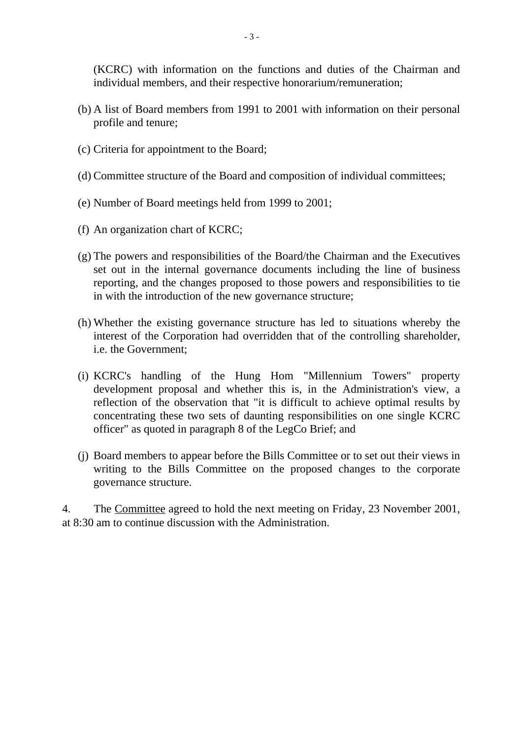(KCRC) with information on the functions and duties of the Chairman and individual members, and their respective honorarium/remuneration;

- (b) A list of Board members from 1991 to 2001 with information on their personal profile and tenure;
- (c) Criteria for appointment to the Board;
- (d) Committee structure of the Board and composition of individual committees;
- (e) Number of Board meetings held from 1999 to 2001;
- (f) An organization chart of KCRC;
- (g) The powers and responsibilities of the Board/the Chairman and the Executives set out in the internal governance documents including the line of business reporting, and the changes proposed to those powers and responsibilities to tie in with the introduction of the new governance structure;
- (h) Whether the existing governance structure has led to situations whereby the interest of the Corporation had overridden that of the controlling shareholder, i.e. the Government;
- (i) KCRC's handling of the Hung Hom "Millennium Towers" property development proposal and whether this is, in the Administration's view, a reflection of the observation that "it is difficult to achieve optimal results by concentrating these two sets of daunting responsibilities on one single KCRC officer" as quoted in paragraph 8 of the LegCo Brief; and
- (j) Board members to appear before the Bills Committee or to set out their views in writing to the Bills Committee on the proposed changes to the corporate governance structure.

4. The Committee agreed to hold the next meeting on Friday, 23 November 2001, at 8:30 am to continue discussion with the Administration.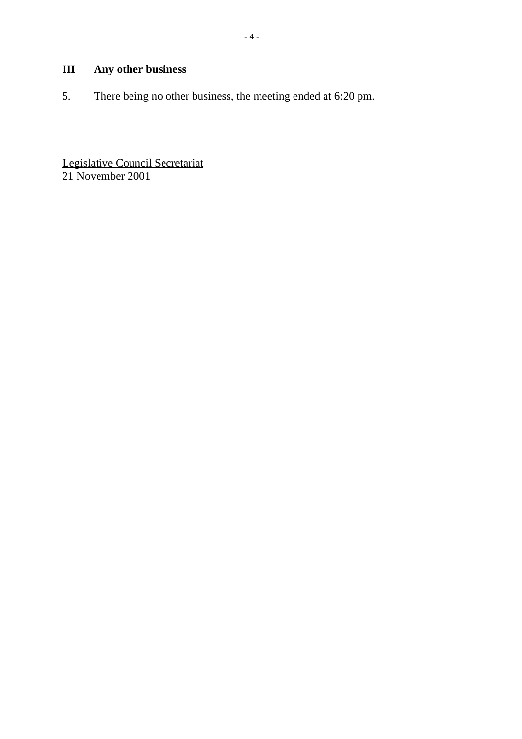5. There being no other business, the meeting ended at 6:20 pm.

Legislative Council Secretariat 21 November 2001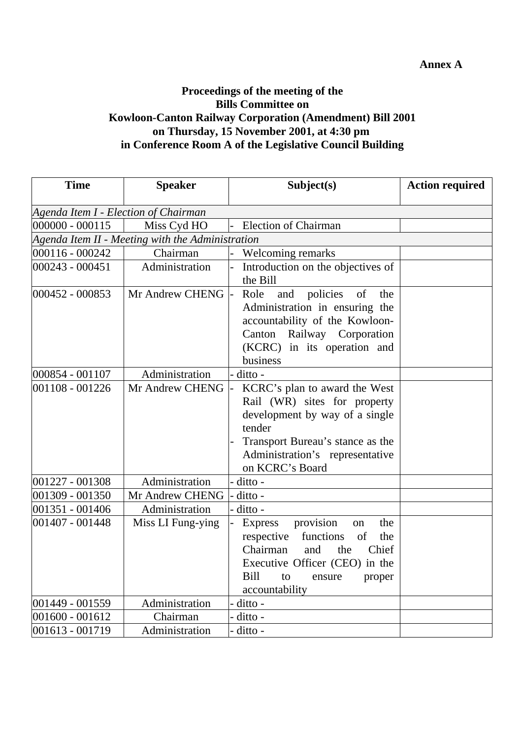# **Annex A**

# **Proceedings of the meeting of the Bills Committee on Kowloon-Canton Railway Corporation (Amendment) Bill 2001 on Thursday, 15 November 2001, at 4:30 pm in Conference Room A of the Legislative Council Building**

| <b>Time</b>                          | <b>Speaker</b>                                   | Subject(s)                                                                                                                                                                                                | <b>Action required</b> |
|--------------------------------------|--------------------------------------------------|-----------------------------------------------------------------------------------------------------------------------------------------------------------------------------------------------------------|------------------------|
| Agenda Item I - Election of Chairman |                                                  |                                                                                                                                                                                                           |                        |
| $000000 - 000115$                    | Miss Cyd HO                                      | <b>Election of Chairman</b>                                                                                                                                                                               |                        |
|                                      | Agenda Item II - Meeting with the Administration |                                                                                                                                                                                                           |                        |
| 000116 - 000242                      | Chairman                                         | Welcoming remarks                                                                                                                                                                                         |                        |
| 000243 - 000451                      | Administration                                   | Introduction on the objectives of<br>the Bill                                                                                                                                                             |                        |
| 000452 - 000853                      | Mr Andrew CHENG                                  | policies<br>Role<br>and<br>of<br>the<br>Administration in ensuring the<br>accountability of the Kowloon-<br>Canton Railway Corporation<br>(KCRC) in its operation and<br>business                         |                        |
| 000854 - 001107                      | Administration                                   | ditto -                                                                                                                                                                                                   |                        |
| 001108 - 001226                      | Mr Andrew CHENG                                  | KCRC's plan to award the West<br>Rail (WR) sites for property<br>development by way of a single<br>tender<br>Transport Bureau's stance as the<br>Administration's representative<br>on KCRC's Board       |                        |
| 001227 - 001308                      | Administration                                   | ditto -                                                                                                                                                                                                   |                        |
| 001309 - 001350                      | Mr Andrew CHENG                                  | ditto -                                                                                                                                                                                                   |                        |
| 001351 - 001406                      | Administration                                   | ditto -                                                                                                                                                                                                   |                        |
| 001407 - 001448                      | Miss LI Fung-ying                                | provision<br><b>Express</b><br>the<br>on<br>functions<br>respective<br>of<br>the<br>Chairman<br>Chief<br>the<br>and<br>Executive Officer (CEO) in the<br>Bill<br>to<br>proper<br>ensure<br>accountability |                        |
| 001449 - 001559                      | Administration                                   | ditto -                                                                                                                                                                                                   |                        |
| 001600 - 001612                      | Chairman                                         | ditto -                                                                                                                                                                                                   |                        |
| 001613 - 001719                      | Administration                                   | ditto -                                                                                                                                                                                                   |                        |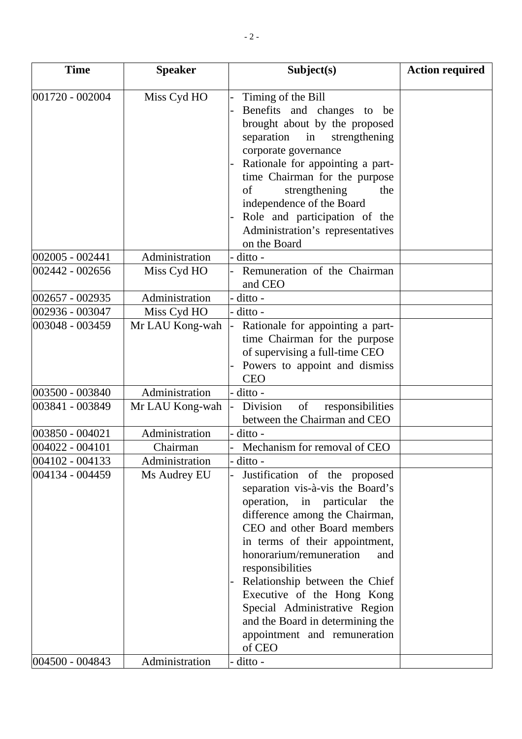| <b>Time</b>         | <b>Speaker</b>  | Subject(s)                                                                                                                                                                                                                                                                                                                                                                                                                                   | <b>Action required</b> |
|---------------------|-----------------|----------------------------------------------------------------------------------------------------------------------------------------------------------------------------------------------------------------------------------------------------------------------------------------------------------------------------------------------------------------------------------------------------------------------------------------------|------------------------|
| $ 001720 - 002004 $ | Miss Cyd HO     | Timing of the Bill<br>Benefits and changes to be<br>brought about by the proposed<br>separation<br>strengthening<br>in<br>corporate governance<br>Rationale for appointing a part-<br>time Chairman for the purpose<br>of<br>strengthening<br>the<br>independence of the Board<br>Role and participation of the<br>Administration's representatives<br>on the Board                                                                          |                        |
| 002005 - 002441     | Administration  | ditto -                                                                                                                                                                                                                                                                                                                                                                                                                                      |                        |
| 002442 - 002656     | Miss Cyd HO     | Remuneration of the Chairman<br>and CEO                                                                                                                                                                                                                                                                                                                                                                                                      |                        |
| 002657 - 002935     | Administration  | ditto -                                                                                                                                                                                                                                                                                                                                                                                                                                      |                        |
| 002936 - 003047     | Miss Cyd HO     | ditto -                                                                                                                                                                                                                                                                                                                                                                                                                                      |                        |
| 003048 - 003459     | Mr LAU Kong-wah | Rationale for appointing a part-<br>time Chairman for the purpose<br>of supervising a full-time CEO<br>Powers to appoint and dismiss<br><b>CEO</b>                                                                                                                                                                                                                                                                                           |                        |
| 003500 - 003840     | Administration  | ditto -                                                                                                                                                                                                                                                                                                                                                                                                                                      |                        |
| 003841 - 003849     | Mr LAU Kong-wah | responsibilities<br>Division<br>of<br>between the Chairman and CEO                                                                                                                                                                                                                                                                                                                                                                           |                        |
| 003850 - 004021     | Administration  | ditto -                                                                                                                                                                                                                                                                                                                                                                                                                                      |                        |
| 004022 - 004101     | Chairman        | Mechanism for removal of CEO                                                                                                                                                                                                                                                                                                                                                                                                                 |                        |
| 004102 - 004133     | Administration  | ditto -                                                                                                                                                                                                                                                                                                                                                                                                                                      |                        |
| 004134 - 004459     | Ms Audrey EU    | Justification of the proposed<br>separation vis-à-vis the Board's<br>operation, in particular<br>the<br>difference among the Chairman,<br>CEO and other Board members<br>in terms of their appointment,<br>honorarium/remuneration<br>and<br>responsibilities<br>Relationship between the Chief<br>Executive of the Hong Kong<br>Special Administrative Region<br>and the Board in determining the<br>appointment and remuneration<br>of CEO |                        |
| 004500 - 004843     | Administration  | ditto -                                                                                                                                                                                                                                                                                                                                                                                                                                      |                        |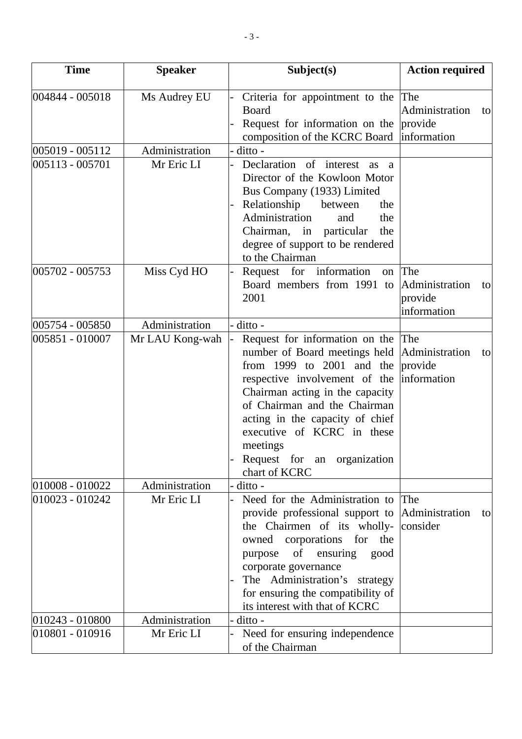| <b>Time</b>     | <b>Speaker</b>  | Subject(s)                                                                                                                                                                                                                                                                                                                        | <b>Action required</b>                                |
|-----------------|-----------------|-----------------------------------------------------------------------------------------------------------------------------------------------------------------------------------------------------------------------------------------------------------------------------------------------------------------------------------|-------------------------------------------------------|
| 004844 - 005018 | Ms Audrey EU    | Criteria for appointment to the<br>Board<br>Request for information on the<br>composition of the KCRC Board                                                                                                                                                                                                                       | The<br>Administration<br>to<br>provide<br>information |
| 005019 - 005112 | Administration  | ditto -                                                                                                                                                                                                                                                                                                                           |                                                       |
| 005113 - 005701 | Mr Eric LI      | Declaration of interest<br>as<br><sub>a</sub><br>Director of the Kowloon Motor<br>Bus Company (1933) Limited<br>Relationship<br>between<br>the<br>Administration<br>the<br>and<br>Chairman, in particular<br>the<br>degree of support to be rendered<br>to the Chairman                                                           |                                                       |
| 005702 - 005753 | Miss Cyd HO     | Request for information<br>on<br>Board members from 1991 to<br>2001                                                                                                                                                                                                                                                               | The<br>Administration<br>to<br>provide<br>information |
| 005754 - 005850 | Administration  | ditto -                                                                                                                                                                                                                                                                                                                           |                                                       |
| 005851 - 010007 | Mr LAU Kong-wah | Request for information on the The<br>number of Board meetings held<br>from 1999 to 2001 and the<br>respective involvement of the<br>Chairman acting in the capacity<br>of Chairman and the Chairman<br>acting in the capacity of chief<br>executive of KCRC in these<br>meetings<br>Request for an organization<br>chart of KCRC | Administration<br>to<br>provide<br>information        |
| 010008 - 010022 | Administration  | ditto -                                                                                                                                                                                                                                                                                                                           |                                                       |
| 010023 - 010242 | Mr Eric LI      | Need for the Administration to<br>provide professional support to<br>the Chairmen of its wholly-<br>owned corporations for the<br>of<br>ensuring<br>purpose<br>good<br>corporate governance<br>The Administration's<br>strategy<br>for ensuring the compatibility of<br>its interest with that of KCRC                            | The<br>Administration<br>tol<br>consider              |
| 010243 - 010800 | Administration  | ditto -                                                                                                                                                                                                                                                                                                                           |                                                       |
| 010801 - 010916 | Mr Eric LI      | Need for ensuring independence<br>of the Chairman                                                                                                                                                                                                                                                                                 |                                                       |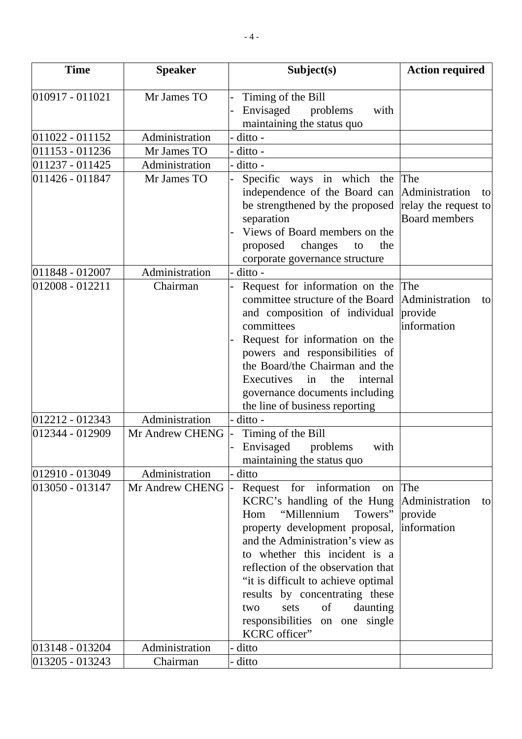| <b>Time</b>     | <b>Speaker</b>  | Subject(s)                                                   | <b>Action required</b>          |
|-----------------|-----------------|--------------------------------------------------------------|---------------------------------|
| 010917 - 011021 | Mr James TO     | Timing of the Bill                                           |                                 |
|                 |                 | Envisaged<br>problems<br>with                                |                                 |
|                 |                 | maintaining the status quo                                   |                                 |
| 011022 - 011152 | Administration  | ditto -                                                      |                                 |
| 011153 - 011236 | Mr James TO     | ditto -                                                      |                                 |
| 011237 - 011425 | Administration  | ditto -                                                      |                                 |
| 011426 - 011847 | Mr James TO     | Specific ways in which the                                   | The                             |
|                 |                 | independence of the Board can                                | Administration<br>to            |
|                 |                 | be strengthened by the proposed                              | relay the request to            |
|                 |                 | separation                                                   | <b>Board members</b>            |
|                 |                 | Views of Board members on the                                |                                 |
|                 |                 | proposed<br>changes<br>the<br>to                             |                                 |
|                 |                 | corporate governance structure                               |                                 |
| 011848 - 012007 | Administration  | ditto -                                                      |                                 |
| 012008 - 012211 | Chairman        | Request for information on the                               | The                             |
|                 |                 | committee structure of the Board                             | Administration<br>to            |
|                 |                 | and composition of individual                                | provide                         |
|                 |                 | committees                                                   | information                     |
|                 |                 | Request for information on the                               |                                 |
|                 |                 | powers and responsibilities of                               |                                 |
|                 |                 | the Board/the Chairman and the                               |                                 |
|                 |                 | Executives<br>the<br>in<br>internal                          |                                 |
|                 |                 | governance documents including                               |                                 |
|                 |                 | the line of business reporting                               |                                 |
| 012212 - 012343 | Administration  | ditto -                                                      |                                 |
| 012344 - 012909 | Mr Andrew CHENG | Timing of the Bill                                           |                                 |
|                 |                 | Envisaged<br>problems<br>with                                |                                 |
|                 |                 | maintaining the status quo                                   |                                 |
| 012910 - 013049 | Administration  | ditto                                                        |                                 |
| 013050 - 013147 | Mr Andrew CHENG | Request for information<br>on                                | The                             |
|                 |                 | KCRC's handling of the Hung<br>"Millennium<br>Towers"<br>Hom | Administration<br>to<br>provide |
|                 |                 | property development proposal,                               | information                     |
|                 |                 | and the Administration's view as                             |                                 |
|                 |                 | to whether this incident is a                                |                                 |
|                 |                 | reflection of the observation that                           |                                 |
|                 |                 | "it is difficult to achieve optimal"                         |                                 |
|                 |                 | results by concentrating these                               |                                 |
|                 |                 | of<br>daunting<br>sets<br>two                                |                                 |
|                 |                 | responsibilities<br>on one single                            |                                 |
|                 |                 | KCRC officer"                                                |                                 |
| 013148 - 013204 | Administration  | ditto                                                        |                                 |
| 013205 - 013243 | Chairman        | ditto                                                        |                                 |